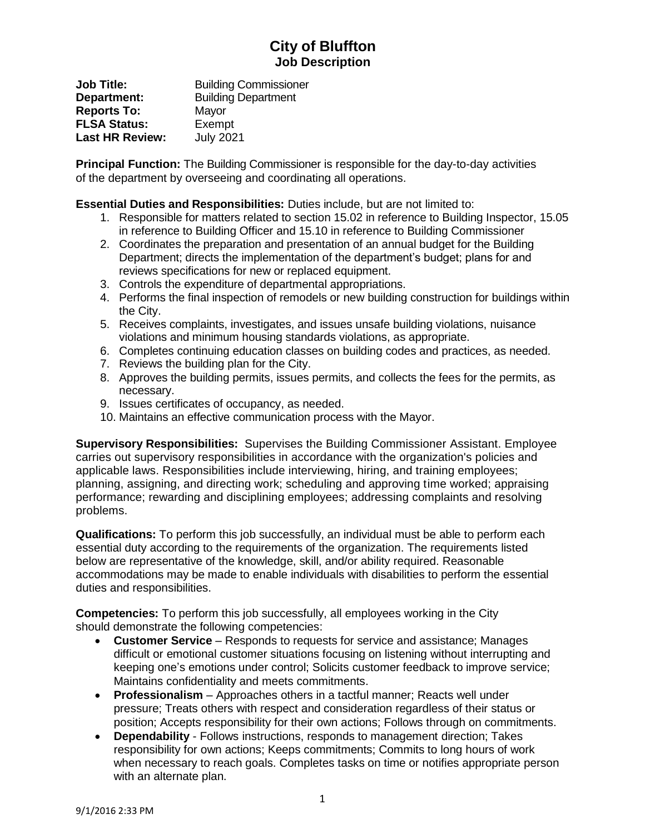## **City of Bluffton Job Description**

**Job Title:** Building Commissioner **Department:** Building Department **Reports To:** Mayor **FLSA Status:** Exempt **Last HR Review:** July 2021

**Principal Function:** The Building Commissioner is responsible for the day-to-day activities of the department by overseeing and coordinating all operations.

**Essential Duties and Responsibilities:** Duties include, but are not limited to:

- 1. Responsible for matters related to section 15.02 in reference to Building Inspector, 15.05 in reference to Building Officer and 15.10 in reference to Building Commissioner
- 2. Coordinates the preparation and presentation of an annual budget for the Building Department; directs the implementation of the department's budget; plans for and reviews specifications for new or replaced equipment.
- 3. Controls the expenditure of departmental appropriations.
- 4. Performs the final inspection of remodels or new building construction for buildings within the City.
- 5. Receives complaints, investigates, and issues unsafe building violations, nuisance violations and minimum housing standards violations, as appropriate.
- 6. Completes continuing education classes on building codes and practices, as needed.
- 7. Reviews the building plan for the City.
- 8. Approves the building permits, issues permits, and collects the fees for the permits, as necessary.
- 9. Issues certificates of occupancy, as needed.
- 10. Maintains an effective communication process with the Mayor.

**Supervisory Responsibilities:** Supervises the Building Commissioner Assistant. Employee carries out supervisory responsibilities in accordance with the organization's policies and applicable laws. Responsibilities include interviewing, hiring, and training employees; planning, assigning, and directing work; scheduling and approving time worked; appraising performance; rewarding and disciplining employees; addressing complaints and resolving problems.

**Qualifications:** To perform this job successfully, an individual must be able to perform each essential duty according to the requirements of the organization. The requirements listed below are representative of the knowledge, skill, and/or ability required. Reasonable accommodations may be made to enable individuals with disabilities to perform the essential duties and responsibilities.

**Competencies:** To perform this job successfully, all employees working in the City should demonstrate the following competencies:

- **Customer Service** Responds to requests for service and assistance; Manages difficult or emotional customer situations focusing on listening without interrupting and keeping one's emotions under control; Solicits customer feedback to improve service; Maintains confidentiality and meets commitments.
- **Professionalism** Approaches others in a tactful manner; Reacts well under pressure; Treats others with respect and consideration regardless of their status or position; Accepts responsibility for their own actions; Follows through on commitments.
- **Dependability** Follows instructions, responds to management direction; Takes responsibility for own actions; Keeps commitments; Commits to long hours of work when necessary to reach goals. Completes tasks on time or notifies appropriate person with an alternate plan.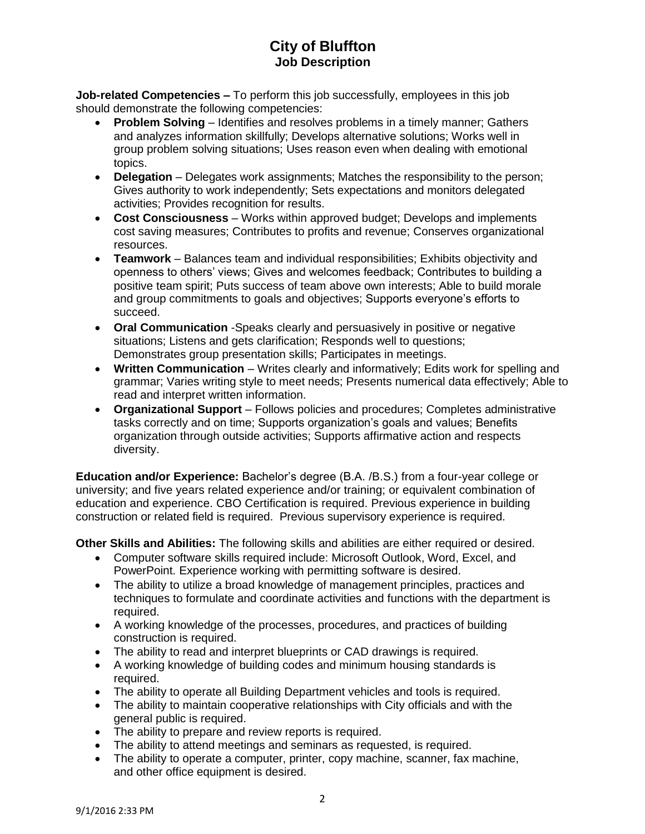## **City of Bluffton Job Description**

**Job-related Competencies –** To perform this job successfully, employees in this job should demonstrate the following competencies:

- **Problem Solving**  Identifies and resolves problems in a timely manner; Gathers and analyzes information skillfully; Develops alternative solutions; Works well in group problem solving situations; Uses reason even when dealing with emotional topics.
- **Delegation**  Delegates work assignments; Matches the responsibility to the person; Gives authority to work independently; Sets expectations and monitors delegated activities; Provides recognition for results.
- **Cost Consciousness** Works within approved budget; Develops and implements cost saving measures; Contributes to profits and revenue; Conserves organizational resources.
- **Teamwork**  Balances team and individual responsibilities; Exhibits objectivity and openness to others' views; Gives and welcomes feedback; Contributes to building a positive team spirit; Puts success of team above own interests; Able to build morale and group commitments to goals and objectives; Supports everyone's efforts to succeed.
- **Oral Communication** -Speaks clearly and persuasively in positive or negative situations; Listens and gets clarification; Responds well to questions; Demonstrates group presentation skills; Participates in meetings.
- **Written Communication** Writes clearly and informatively; Edits work for spelling and grammar; Varies writing style to meet needs; Presents numerical data effectively; Able to read and interpret written information.
- **Organizational Support** Follows policies and procedures; Completes administrative tasks correctly and on time; Supports organization's goals and values; Benefits organization through outside activities; Supports affirmative action and respects diversity.

**Education and/or Experience:** Bachelor's degree (B.A. /B.S.) from a four-year college or university; and five years related experience and/or training; or equivalent combination of education and experience. CBO Certification is required. Previous experience in building construction or related field is required. Previous supervisory experience is required.

**Other Skills and Abilities:** The following skills and abilities are either required or desired.

- Computer software skills required include: Microsoft Outlook, Word, Excel, and PowerPoint. Experience working with permitting software is desired.
- The ability to utilize a broad knowledge of management principles, practices and techniques to formulate and coordinate activities and functions with the department is required.
- A working knowledge of the processes, procedures, and practices of building construction is required.
- The ability to read and interpret blueprints or CAD drawings is required.
- A working knowledge of building codes and minimum housing standards is required.
- The ability to operate all Building Department vehicles and tools is required.
- The ability to maintain cooperative relationships with City officials and with the general public is required.
- The ability to prepare and review reports is required.
- The ability to attend meetings and seminars as requested, is required.
- The ability to operate a computer, printer, copy machine, scanner, fax machine, and other office equipment is desired.